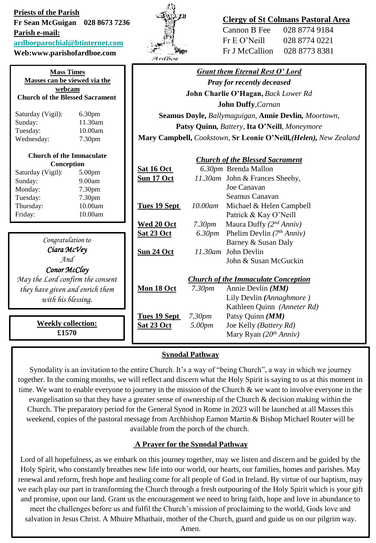| <b>Priests of the Parish</b><br>Fr Sean McGuigan 028 8673 7236<br>Parish e-mail:<br>ardboeparochial@btinternet.com<br>Web:www.parishofardboe.com |                    | Ardboe                                                            |                    | Cannon B Fee<br>Fr E O'Neill<br>Fr J McCallion | <b>Clergy of St Colmans Pastoral Area</b><br>028 8774 9184<br>028 8774 0221<br>028 8773 8381 |
|--------------------------------------------------------------------------------------------------------------------------------------------------|--------------------|-------------------------------------------------------------------|--------------------|------------------------------------------------|----------------------------------------------------------------------------------------------|
| <b>Mass Times</b>                                                                                                                                |                    | <b>Grant them Eternal Rest O' Lord</b>                            |                    |                                                |                                                                                              |
| Masses can be viewed via the<br>webcam                                                                                                           |                    | <b>Pray for recently deceased</b>                                 |                    |                                                |                                                                                              |
| <b>Church of the Blessed Sacrament</b>                                                                                                           |                    | John Charlie O'Hagan, Back Lower Rd                               |                    |                                                |                                                                                              |
|                                                                                                                                                  |                    | John Duffy, Carnan                                                |                    |                                                |                                                                                              |
| Saturday (Vigil):                                                                                                                                | 6.30pm             | Seamus Doyle, Ballymaguigan, Annie Devlin, Moortown,              |                    |                                                |                                                                                              |
| Sunday:                                                                                                                                          | 11.30am<br>10.00am | Patsy Quinn, Battery, Ita O'Neill, Moneymore                      |                    |                                                |                                                                                              |
| Tuesday:<br>Wednesday:                                                                                                                           | 7.30pm             | Mary Campbell, Cookstown, Sr Leonie O'Neill, (Helen), New Zealand |                    |                                                |                                                                                              |
|                                                                                                                                                  |                    |                                                                   |                    |                                                |                                                                                              |
| <b>Church of the Immaculate</b><br>Conception                                                                                                    |                    | <b>Church of the Blessed Sacrament</b>                            |                    |                                                |                                                                                              |
| Saturday (Vigil):                                                                                                                                | 5.00pm             | Sat 16 Oct                                                        |                    | 6.30pm Brenda Mallon                           |                                                                                              |
| Sunday:                                                                                                                                          | 9.00am             | Sun 17 Oct                                                        |                    | 11.30am John & Frances Sheehy,<br>Joe Canavan  |                                                                                              |
| Monday:                                                                                                                                          | 7.30pm             |                                                                   |                    | Seamus Canavan                                 |                                                                                              |
| Tuesday:                                                                                                                                         | 7.30pm<br>10.00am  |                                                                   | 10.00am            | Michael & Helen Campbell                       |                                                                                              |
| Thursday:<br>Friday:                                                                                                                             | 10.00am            | Tues 19 Sept                                                      |                    | Patrick & Kay O'Neill                          |                                                                                              |
|                                                                                                                                                  |                    | Wed 20 Oct                                                        | 7.30 <sub>pm</sub> | Maura Duffy $(2^{nd} Anniv)$                   |                                                                                              |
|                                                                                                                                                  |                    | <b>Sat 23 Oct</b>                                                 | 6.30pm             | Phelim Devlin $(7th Anniv)$                    |                                                                                              |
| Congratulation to                                                                                                                                |                    |                                                                   |                    | Barney & Susan Daly                            |                                                                                              |
| Ciara McVey                                                                                                                                      |                    | Sun 24 Oct                                                        |                    | 11.30am John Devlin                            |                                                                                              |
| And                                                                                                                                              |                    |                                                                   |                    | John & Susan McGuckin                          |                                                                                              |
| Conor McCloy                                                                                                                                     |                    |                                                                   |                    |                                                |                                                                                              |
| May the Lord confirm the consent                                                                                                                 |                    | <b>Church of the Immaculate Conception</b>                        |                    |                                                |                                                                                              |
| they have given and enrich them                                                                                                                  |                    | Mon 18 Oct                                                        | 7.30 <sub>pm</sub> | Annie Devlin (MM)                              |                                                                                              |
| with his blessing.                                                                                                                               |                    |                                                                   |                    | Lily Devlin (Annaghmore)                       |                                                                                              |
|                                                                                                                                                  |                    |                                                                   |                    | Kathleen Quinn (Anneter Rd)                    |                                                                                              |
|                                                                                                                                                  |                    | Tues 19 Sept                                                      | 7.30 <sub>pm</sub> | Patsy Quinn (MM)                               |                                                                                              |
| <b>Weekly collection:</b><br>£1570                                                                                                               |                    | Sat 23 Oct                                                        | 5.00pm             | Joe Kelly (Battery Rd)                         |                                                                                              |
|                                                                                                                                                  |                    |                                                                   |                    | Mary Ryan $(20th Anniv)$                       |                                                                                              |
|                                                                                                                                                  |                    |                                                                   |                    |                                                |                                                                                              |

## **Synodal Pathway**

Synodality is an invitation to the entire Church. It's a way of "being Church", a way in which we journey together. In the coming months, we will reflect and discern what the Holy Spirit is saying to us at this moment in time. We want to enable everyone to journey in the mission of the Church & we want to involve everyone in the evangelisation so that they have a greater sense of ownership of the Church  $\&$  decision making within the Church. The preparatory period for the General Synod in Rome in 2023 will be launched at all Masses this weekend, copies of the pastoral message from Archbishop Eamon Martin & Bishop Michael Router will be available from the porch of the church.

## **A Prayer for the Synodal Pathway**

Lord of all hopefulness, as we embark on this journey together, may we listen and discern and be guided by the Holy Spirit, who constantly breathes new life into our world, our hearts, our families, homes and parishes. May renewal and reform, fresh hope and healing come for all people of God in Ireland. By virtue of our baptism, may we each play our part in transforming the Church through a fresh outpouring of the Holy Spirit which is your gift and promise, upon our land. Grant us the encouragement we need to bring faith, hope and love in abundance to meet the challenges before us and fulfil the Church's mission of proclaiming to the world, Gods love and salvation in Jesus Christ. A Mhuire Mhathair, mother of the Church, guard and guide us on our pilgrim way.

Amen.